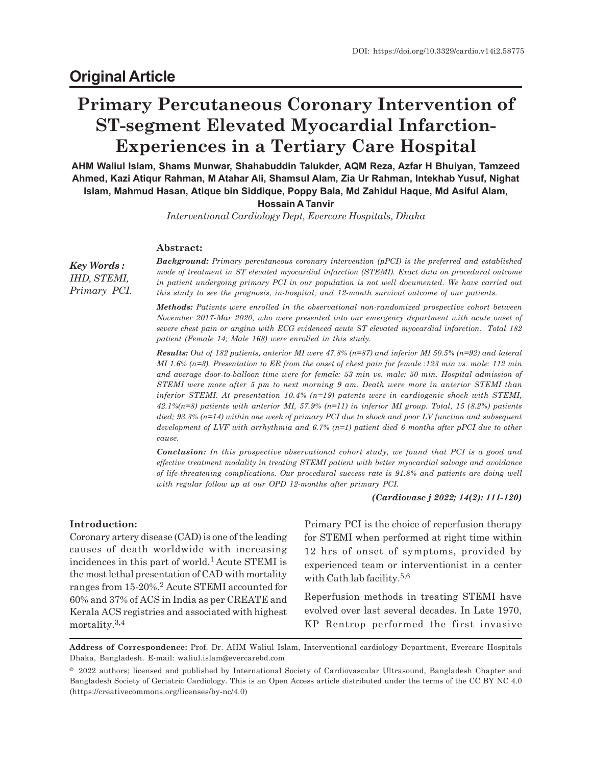# **Primary Percutaneous Coronary Intervention of ST-segment Elevated Myocardial Infarction-Experiences in a Tertiary Care Hospital**

**AHM Waliul Islam, Shams Munwar, Shahabuddin Talukder, AQM Reza, Azfar H Bhuiyan, Tamzeed Ahmed, Kazi Atiqur Rahman, M Atahar Ali, Shamsul Alam, Zia Ur Rahman, Intekhab Yusuf, Nighat Islam, Mahmud Hasan, Atique bin Siddique, Poppy Bala, Md Zahidul Haque, Md Asiful Alam,**

**Hossain A Tanvir**

*Interventional Cardiology Dept, Evercare Hospitals, Dhaka*

#### **Abstract:**

*Key Words : IHD, STEMI, Primary PCI.* *Background: Primary percutaneous coronary intervention (pPCI) is the preferred and established mode of treatment in ST elevated myocardial infarction (STEMI). Exact data on procedural outcome in patient undergoing primary PCI in our population is not well documented. We have carried out this study to see the prognosis, in-hospital, and 12-month survival outcome of our patients.*

*Methods: Patients were enrolled in the observational non-randomized prospective cohort between November 2017-Mar 2020, who were presented into our emergency department with acute onset of severe chest pain or angina with ECG evidenced acute ST elevated myocardial infarction. Total 182 patient (Female 14; Male 168) were enrolled in this study.*

*Results: Out of 182 patients, anterior MI were 47.8% (n=87) and inferior MI 50.5% (n=92) and lateral MI 1.6% (n=3). Presentation to ER from the onset of chest pain for female :123 min vs. male: 112 min and average door-to-balloon time were for female: 53 min vs. male: 50 min. Hospital admission of STEMI were more after 5 pm to next morning 9 am. Death were more in anterior STEMI than inferior STEMI. At presentation 10.4% (n=19) patents were in cardiogenic shock with STEMI, 42.1%(n=8) patients with anterior MI, 57.9% (n=11) in inferior MI group. Total, 15 (8.2%) patients died; 93.3% (n=14) within one week of primary PCI due to shock and poor LV function and subsequent development of LVF with arrhythmia and 6.7% (n=1) patient died 6 months after pPCI due to other cause.*

*Conclusion: In this prospective observational cohort study, we found that PCI is a good and effective treatment modality in treating STEMI patient with better myocardial salvage and avoidance of life-threatening complications. Our procedural success rate is 91.8% and patients are doing well with regular follow up at our OPD 12-months after primary PCI.*

*(Cardiovasc j 2022; 14(2): 111-120)*

## **Introduction:**

Coronary artery disease (CAD) is one of the leading causes of death worldwide with increasing incidences in this part of world.1 Acute STEMI is the most lethal presentation of CAD with mortality ranges from 15-20%.<sup>2</sup> Acute STEMI accounted for 60% and 37% of ACS in India as per CREATE and Kerala ACS registries and associated with highest mortality.3,4

Primary PCI is the choice of reperfusion therapy for STEMI when performed at right time within 12 hrs of onset of symptoms, provided by experienced team or interventionist in a center with Cath lab facility. $5,6$ 

Reperfusion methods in treating STEMI have evolved over last several decades. In Late 1970, KP Rentrop performed the first invasive

**Address of Correspondence:** Prof. Dr. AHM Waliul Islam, Interventional cardiology Department, Evercare Hospitals Dhaka, Bangladesh. E-mail: waliul.islam@evercarebd.com

<sup>© 2022</sup> authors; licensed and published by International Society of Cardiovascular Ultrasound, Bangladesh Chapter and Bangladesh Society of Geriatric Cardiology. This is an Open Access article distributed under the terms of the CC BY NC 4.0 (https://creativecommons.org/licenses/by-nc/4.0)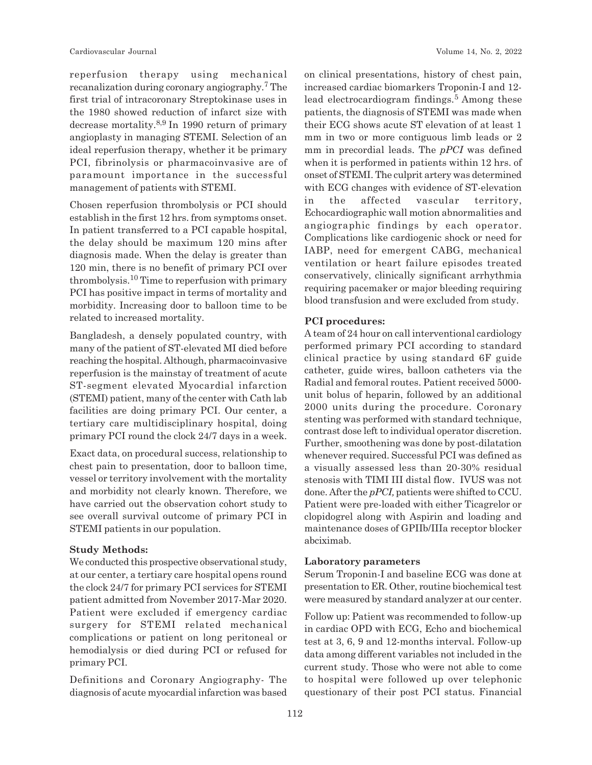reperfusion therapy using mechanical recanalization during coronary angiography.<sup>7</sup> The first trial of intracoronary Streptokinase uses in the 1980 showed reduction of infarct size with decrease mortality.8,9 In 1990 return of primary angioplasty in managing STEMI. Selection of an ideal reperfusion therapy, whether it be primary PCI, fibrinolysis or pharmacoinvasive are of paramount importance in the successful management of patients with STEMI.

Chosen reperfusion thrombolysis or PCI should establish in the first 12 hrs. from symptoms onset. In patient transferred to a PCI capable hospital, the delay should be maximum 120 mins after diagnosis made. When the delay is greater than 120 min, there is no benefit of primary PCI over thrombolysis.10 Time to reperfusion with primary PCI has positive impact in terms of mortality and morbidity. Increasing door to balloon time to be related to increased mortality.

Bangladesh, a densely populated country, with many of the patient of ST-elevated MI died before reaching the hospital. Although, pharmacoinvasive reperfusion is the mainstay of treatment of acute ST-segment elevated Myocardial infarction (STEMI) patient, many of the center with Cath lab facilities are doing primary PCI. Our center, a tertiary care multidisciplinary hospital, doing primary PCI round the clock 24/7 days in a week.

Exact data, on procedural success, relationship to chest pain to presentation, door to balloon time, vessel or territory involvement with the mortality and morbidity not clearly known. Therefore, we have carried out the observation cohort study to see overall survival outcome of primary PCI in STEMI patients in our population.

#### **Study Methods:**

We conducted this prospective observational study, at our center, a tertiary care hospital opens round the clock 24/7 for primary PCI services for STEMI patient admitted from November 2017-Mar 2020. Patient were excluded if emergency cardiac surgery for STEMI related mechanical complications or patient on long peritoneal or hemodialysis or died during PCI or refused for primary PCI.

Definitions and Coronary Angiography- The diagnosis of acute myocardial infarction was based on clinical presentations, history of chest pain, increased cardiac biomarkers Troponin-I and 12 lead electrocardiogram findings.<sup>5</sup> Among these patients, the diagnosis of STEMI was made when their ECG shows acute ST elevation of at least 1 mm in two or more contiguous limb leads or 2 mm in precordial leads. The *pPCI* was defined when it is performed in patients within 12 hrs. of onset of STEMI. The culprit artery was determined with ECG changes with evidence of ST-elevation in the affected vascular territory, Echocardiographic wall motion abnormalities and angiographic findings by each operator. Complications like cardiogenic shock or need for IABP, need for emergent CABG, mechanical ventilation or heart failure episodes treated conservatively, clinically significant arrhythmia requiring pacemaker or major bleeding requiring blood transfusion and were excluded from study.

#### **PCI procedures:**

A team of 24 hour on call interventional cardiology performed primary PCI according to standard clinical practice by using standard 6F guide catheter, guide wires, balloon catheters via the Radial and femoral routes. Patient received 5000 unit bolus of heparin, followed by an additional 2000 units during the procedure. Coronary stenting was performed with standard technique, contrast dose left to individual operator discretion. Further, smoothening was done by post-dilatation whenever required. Successful PCI was defined as a visually assessed less than 20-30% residual stenosis with TIMI III distal flow. IVUS was not done. After the *pPCI,* patients were shifted to CCU. Patient were pre-loaded with either Ticagrelor or clopidogrel along with Aspirin and loading and maintenance doses of GPIIb/IIIa receptor blocker abciximab.

#### **Laboratory parameters**

Serum Troponin-I and baseline ECG was done at presentation to ER. Other, routine biochemical test were measured by standard analyzer at our center.

Follow up: Patient was recommended to follow-up in cardiac OPD with ECG, Echo and biochemical test at 3, 6, 9 and 12-months interval. Follow-up data among different variables not included in the current study. Those who were not able to come to hospital were followed up over telephonic questionary of their post PCI status. Financial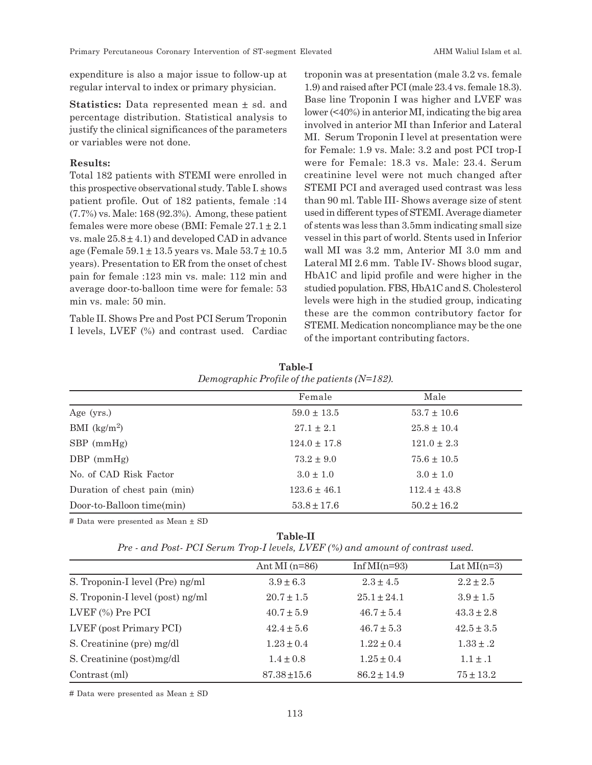expenditure is also a major issue to follow-up at regular interval to index or primary physician.

**Statistics:** Data represented mean ± sd. and percentage distribution. Statistical analysis to justify the clinical significances of the parameters or variables were not done.

#### **Results:**

Total 182 patients with STEMI were enrolled in this prospective observational study. Table I. shows patient profile. Out of 182 patients, female :14 (7.7%) vs. Male: 168 (92.3%). Among, these patient females were more obese (BMI: Female  $27.1 \pm 2.1$ vs. male  $25.8 \pm 4.1$ ) and developed CAD in advance age (Female  $59.1 \pm 13.5$  years vs. Male  $53.7 \pm 10.5$ years). Presentation to ER from the onset of chest pain for female :123 min vs. male: 112 min and average door-to-balloon time were for female: 53 min vs. male: 50 min.

Table II. Shows Pre and Post PCI Serum Troponin I levels, LVEF (%) and contrast used. Cardiac troponin was at presentation (male 3.2 vs. female 1.9) and raised after PCI (male 23.4 vs. female 18.3). Base line Troponin I was higher and LVEF was lower (<40%) in anterior MI, indicating the big area involved in anterior MI than Inferior and Lateral MI. Serum Troponin I level at presentation were for Female: 1.9 vs. Male: 3.2 and post PCI trop-I were for Female: 18.3 vs. Male: 23.4. Serum creatinine level were not much changed after STEMI PCI and averaged used contrast was less than 90 ml. Table III- Shows average size of stent used in different types of STEMI. Average diameter of stents was less than 3.5mm indicating small size vessel in this part of world. Stents used in Inferior wall MI was 3.2 mm, Anterior MI 3.0 mm and Lateral MI 2.6 mm. Table IV- Shows blood sugar, HbA1C and lipid profile and were higher in the studied population. FBS, HbA1C and S. Cholesterol levels were high in the studied group, indicating these are the common contributory factor for STEMI. Medication noncompliance may be the one of the important contributing factors.

| $D$ chosen where $I$ is only to be putted that $I = I \cup I$ . |                  |                  |  |  |
|-----------------------------------------------------------------|------------------|------------------|--|--|
|                                                                 | Female           | Male             |  |  |
| Age (yrs.)                                                      | $59.0 \pm 13.5$  | $53.7 \pm 10.6$  |  |  |
| BMI $(kg/m2)$                                                   | $27.1 \pm 2.1$   | $25.8 \pm 10.4$  |  |  |
| $SBP$ (mmHg)                                                    | $124.0 \pm 17.8$ | $121.0 \pm 2.3$  |  |  |
| $DBP$ (mmHg)                                                    | $73.2 \pm 9.0$   | $75.6 \pm 10.5$  |  |  |
| No. of CAD Risk Factor                                          | $3.0 \pm 1.0$    | $3.0 \pm 1.0$    |  |  |
| Duration of chest pain (min)                                    | $123.6 \pm 46.1$ | $112.4 \pm 43.8$ |  |  |
| Door-to-Balloon time(min)                                       | $53.8 \pm 17.6$  | $50.2 \pm 16.2$  |  |  |

**Table-I** *Demographic Profile of the patients (N=182).*

# Data were presented as Mean ± SD

**Table-II** *Pre - and Post- PCI Serum Trop-I levels, LVEF (%) and amount of contrast used.*

|                                  | Ant MI $(n=86)$ | Inf MI( $n=93$ ) | Lat $MI(n=3)$  |
|----------------------------------|-----------------|------------------|----------------|
| S. Troponin-I level (Pre) ng/ml  | $3.9 \pm 6.3$   | $2.3 \pm 4.5$    | $2.2 \pm 2.5$  |
| S. Troponin-I level (post) ng/ml | $20.7 \pm 1.5$  | $25.1 + 24.1$    | $3.9 \pm 1.5$  |
| LVEF (%) Pre PCI                 | $40.7 \pm 5.9$  | $46.7 \pm 5.4$   | $43.3 \pm 2.8$ |
| LVEF (post Primary PCI)          | $42.4 \pm 5.6$  | $46.7 + 5.3$     | $42.5 \pm 3.5$ |
| S. Creatinine (pre) mg/dl        | $1.23 \pm 0.4$  | $1.22 + 0.4$     | $1.33 \pm .2$  |
| S. Creatinine (post)mg/dl        | $1.4 \pm 0.8$   | $1.25 + 0.4$     | $1.1 \pm .1$   |
| Contrast (ml)                    | $87.38 + 15.6$  | $86.2 + 14.9$    | $75 + 13.2$    |

# Data were presented as Mean ± SD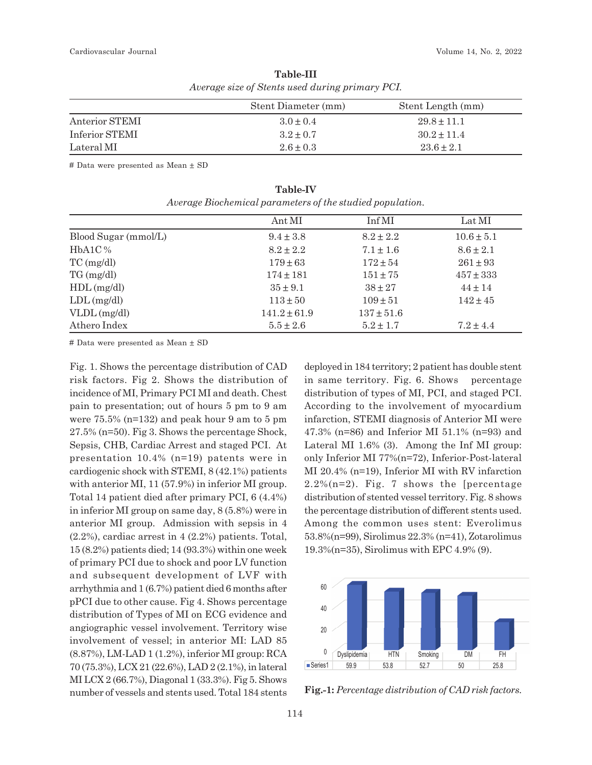|                | Stent Diameter (mm) | Stent Length (mm) |
|----------------|---------------------|-------------------|
| Anterior STEMI | $3.0 + 0.4$         | $29.8 + 11.1$     |
| Inferior STEMI | $3.2 + 0.7$         | $30.2 + 11.4$     |
| Lateral MI     | $2.6 + 0.3$         | $23.6 + 2.1$      |

**Table-III** *Average size of Stents used during primary PCI.*

# Data were presented as Mean ± SD

|                      | Ant MI           | Inf MI         | Lat MI         |
|----------------------|------------------|----------------|----------------|
| Blood Sugar (mmol/L) | $9.4 \pm 3.8$    | $8.2 \pm 2.2$  | $10.6 \pm 5.1$ |
| $HbA1C\%$            | $8.2 \pm 2.2$    | $7.1 \pm 1.6$  | $8.6 \pm 2.1$  |
| $TC$ (mg/dl)         | $179 \pm 63$     | $172 \pm 54$   | $261 \pm 93$   |
| $TG \, (mg/dl)$      | $174 \pm 181$    | $151 \pm 75$   | $457 \pm 333$  |
| $HDL$ (mg/dl)        | $35 \pm 9.1$     | $38 + 27$      | $44 \pm 14$    |
| $LDL$ (mg/dl)        | $113 \pm 50$     | $109 \pm 51$   | $142 + 45$     |
| $VLDL$ (mg/dl)       | $141.2 \pm 61.9$ | $137 \pm 51.6$ |                |
| Athero Index         | $5.5 \pm 2.6$    | $5.2 \pm 1.7$  | $7.2 \pm 4.4$  |

**Table-IV** *Average Biochemical parameters of the studied population.*

# Data were presented as Mean ± SD

Fig. 1. Shows the percentage distribution of CAD risk factors. Fig 2. Shows the distribution of incidence of MI, Primary PCI MI and death. Chest pain to presentation; out of hours 5 pm to 9 am were 75.5% (n=132) and peak hour 9 am to 5 pm 27.5% (n=50). Fig 3. Shows the percentage Shock, Sepsis, CHB, Cardiac Arrest and staged PCI. At presentation 10.4% (n=19) patents were in cardiogenic shock with STEMI, 8 (42.1%) patients with anterior MI, 11 (57.9%) in inferior MI group. Total 14 patient died after primary PCI, 6 (4.4%) in inferior MI group on same day, 8 (5.8%) were in anterior MI group. Admission with sepsis in 4 (2.2%), cardiac arrest in 4 (2.2%) patients. Total, 15 (8.2%) patients died; 14 (93.3%) within one week of primary PCI due to shock and poor LV function and subsequent development of LVF with arrhythmia and 1 (6.7%) patient died 6 months after pPCI due to other cause. Fig 4. Shows percentage distribution of Types of MI on ECG evidence and angiographic vessel involvement. Territory wise involvement of vessel; in anterior MI: LAD 85 (8.87%), LM-LAD 1 (1.2%), inferior MI group: RCA 70 (75.3%), LCX 21 (22.6%), LAD 2 (2.1%), in lateral MI LCX 2 (66.7%), Diagonal 1 (33.3%). Fig 5. Shows number of vessels and stents used. Total 184 stents deployed in 184 territory; 2 patient has double stent in same territory. Fig. 6. Shows percentage distribution of types of MI, PCI, and staged PCI. According to the involvement of myocardium infarction, STEMI diagnosis of Anterior MI were 47.3% (n=86) and Inferior MI 51.1% (n=93) and Lateral MI 1.6% (3). Among the Inf MI group: only Inferior MI 77%(n=72), Inferior-Post-lateral MI 20.4% (n=19), Inferior MI with RV infarction 2.2%( $n=2$ ). Fig. 7 shows the [percentage distribution of stented vessel territory. Fig. 8 shows the percentage distribution of different stents used. Among the common uses stent: Everolimus 53.8%(n=99), Sirolimus 22.3% (n=41), Zotarolimus 19.3%(n=35), Sirolimus with EPC 4.9% (9).



**Fig.-1:** *Percentage distribution of CAD risk factors.*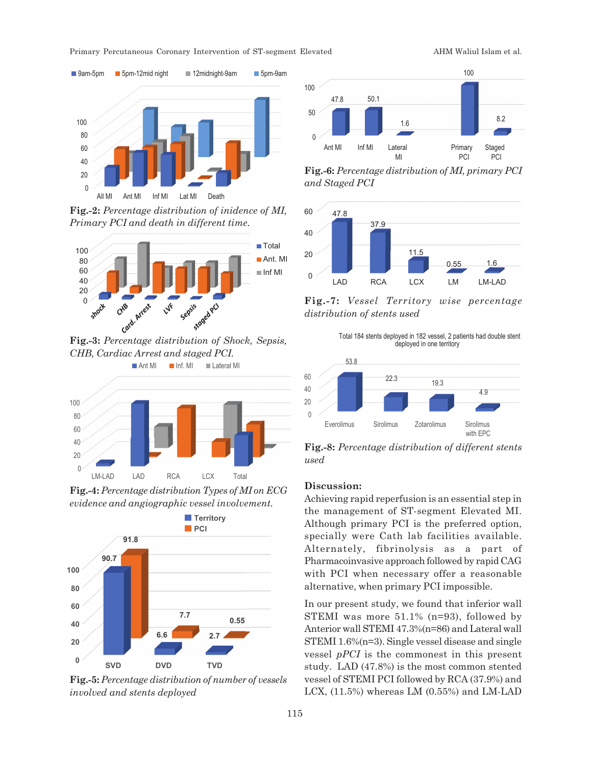

**Fig.-2:** *Percentage distribution of inidence of MI, Primary PCI and death in different time.*



*CHB, Cardiac Arrest and staged PCI.*



**Fig.-4:** *Percentage distribution Types of MI on ECG evidence and angiographic vessel involvement.*



**Fig.-5:** *Percentage distribution of number of vessels involved and stents deployed*



**Fig.-6:** *Percentage distribution of MI, primary PCI and Staged PCI*



**Fig.-7:** *Vessel Territory wise percentage distribution of stents used*

Total 184 stents deployed in 182 vessel, 2 patients had double stent deployed in one territory



**Fig.-8:** *Percentage distribution of different stents used*

#### **Discussion:**

Achieving rapid reperfusion is an essential step in the management of ST-segment Elevated MI. Although primary PCI is the preferred option, specially were Cath lab facilities available. Alternately, fibrinolysis as a part of Pharmacoinvasive approach followed by rapid CAG with PCI when necessary offer a reasonable alternative, when primary PCI impossible.

In our present study, we found that inferior wall STEMI was more 51.1% (n=93), followed by Anterior wall STEMI 47.3%(n=86) and Lateral wall STEMI 1.6%(n=3). Single vessel disease and single vessel *pPCI* is the commonest in this present study. LAD (47.8%) is the most common stented vessel of STEMI PCI followed by RCA (37.9%) and LCX, (11.5%) whereas LM (0.55%) and LM-LAD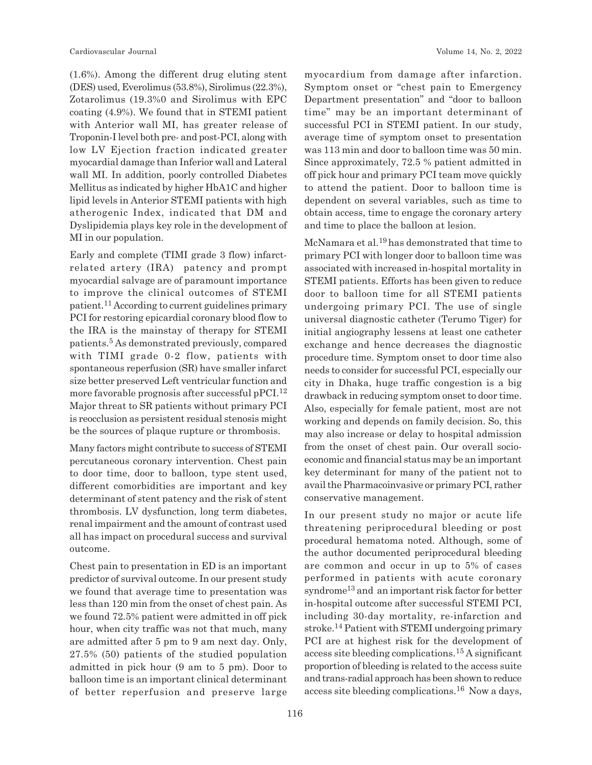(1.6%). Among the different drug eluting stent (DES) used, Everolimus (53.8%), Sirolimus (22.3%), Zotarolimus (19.3%0 and Sirolimus with EPC coating (4.9%). We found that in STEMI patient with Anterior wall MI, has greater release of Troponin-I level both pre- and post-PCI, along with low LV Ejection fraction indicated greater myocardial damage than Inferior wall and Lateral wall MI. In addition, poorly controlled Diabetes Mellitus as indicated by higher HbA1C and higher lipid levels in Anterior STEMI patients with high atherogenic Index, indicated that DM and Dyslipidemia plays key role in the development of MI in our population.

Early and complete (TIMI grade 3 flow) infarctrelated artery (IRA) patency and prompt myocardial salvage are of paramount importance to improve the clinical outcomes of STEMI patient.11 According to current guidelines primary PCI for restoring epicardial coronary blood flow to the IRA is the mainstay of therapy for STEMI patients.<sup>5</sup> As demonstrated previously, compared with TIMI grade 0-2 flow, patients with spontaneous reperfusion (SR) have smaller infarct size better preserved Left ventricular function and more favorable prognosis after successful pPCI.<sup>12</sup> Major threat to SR patients without primary PCI is reocclusion as persistent residual stenosis might be the sources of plaque rupture or thrombosis.

Many factors might contribute to success of STEMI percutaneous coronary intervention. Chest pain to door time, door to balloon, type stent used, different comorbidities are important and key determinant of stent patency and the risk of stent thrombosis. LV dysfunction, long term diabetes, renal impairment and the amount of contrast used all has impact on procedural success and survival outcome.

Chest pain to presentation in ED is an important predictor of survival outcome. In our present study we found that average time to presentation was less than 120 min from the onset of chest pain. As we found 72.5% patient were admitted in off pick hour, when city traffic was not that much, many are admitted after 5 pm to 9 am next day. Only, 27.5% (50) patients of the studied population admitted in pick hour (9 am to 5 pm). Door to balloon time is an important clinical determinant of better reperfusion and preserve large myocardium from damage after infarction. Symptom onset or "chest pain to Emergency Department presentation" and "door to balloon time" may be an important determinant of successful PCI in STEMI patient. In our study, average time of symptom onset to presentation was 113 min and door to balloon time was 50 min. Since approximately, 72.5 % patient admitted in off pick hour and primary PCI team move quickly to attend the patient. Door to balloon time is dependent on several variables, such as time to obtain access, time to engage the coronary artery and time to place the balloon at lesion.

McNamara et al.19 has demonstrated that time to primary PCI with longer door to balloon time was associated with increased in-hospital mortality in STEMI patients. Efforts has been given to reduce door to balloon time for all STEMI patients undergoing primary PCI. The use of single universal diagnostic catheter (Terumo Tiger) for initial angiography lessens at least one catheter exchange and hence decreases the diagnostic procedure time. Symptom onset to door time also needs to consider for successful PCI, especially our city in Dhaka, huge traffic congestion is a big drawback in reducing symptom onset to door time. Also, especially for female patient, most are not working and depends on family decision. So, this may also increase or delay to hospital admission from the onset of chest pain. Our overall socioeconomic and financial status may be an important key determinant for many of the patient not to avail the Pharmacoinvasive or primary PCI, rather conservative management.

In our present study no major or acute life threatening periprocedural bleeding or post procedural hematoma noted. Although, some of the author documented periprocedural bleeding are common and occur in up to 5% of cases performed in patients with acute coronary syndrome<sup>13</sup> and an important risk factor for better in-hospital outcome after successful STEMI PCI, including 30-day mortality, re-infarction and stroke.14 Patient with STEMI undergoing primary PCI are at highest risk for the development of access site bleeding complications.15 A significant proportion of bleeding is related to the access suite and trans-radial approach has been shown to reduce access site bleeding complications.16 Now a days,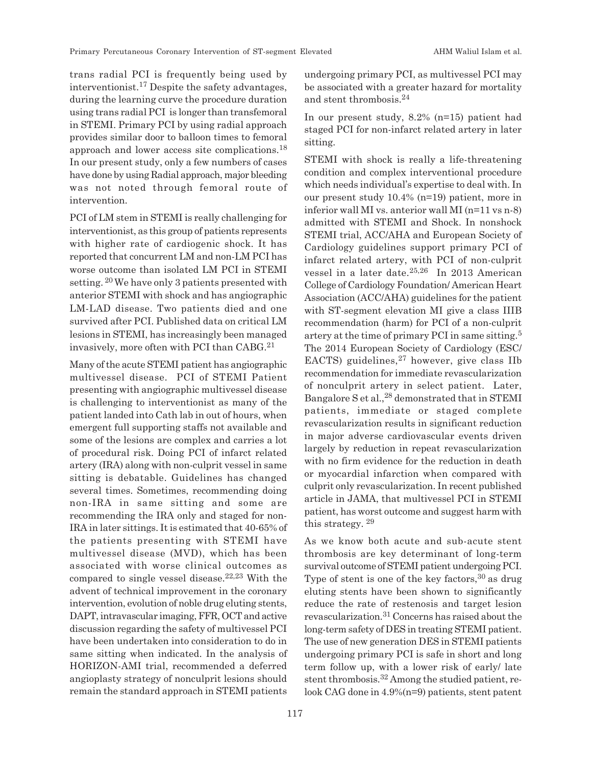trans radial PCI is frequently being used by interventionist.17 Despite the safety advantages, during the learning curve the procedure duration using trans radial PCI is longer than transfemoral in STEMI. Primary PCI by using radial approach provides similar door to balloon times to femoral approach and lower access site complications.<sup>18</sup> In our present study, only a few numbers of cases have done by using Radial approach, major bleeding was not noted through femoral route of intervention.

PCI of LM stem in STEMI is really challenging for interventionist, as this group of patients represents with higher rate of cardiogenic shock. It has reported that concurrent LM and non-LM PCI has worse outcome than isolated LM PCI in STEMI setting. 20 We have only 3 patients presented with anterior STEMI with shock and has angiographic LM-LAD disease. Two patients died and one survived after PCI. Published data on critical LM lesions in STEMI, has increasingly been managed invasively, more often with PCI than CABG.<sup>21</sup>

Many of the acute STEMI patient has angiographic multivessel disease. PCI of STEMI Patient presenting with angiographic multivessel disease is challenging to interventionist as many of the patient landed into Cath lab in out of hours, when emergent full supporting staffs not available and some of the lesions are complex and carries a lot of procedural risk. Doing PCI of infarct related artery (IRA) along with non-culprit vessel in same sitting is debatable. Guidelines has changed several times. Sometimes, recommending doing non-IRA in same sitting and some are recommending the IRA only and staged for non-IRA in later sittings. It is estimated that 40-65% of the patients presenting with STEMI have multivessel disease (MVD), which has been associated with worse clinical outcomes as compared to single vessel disease. $22,23$  With the advent of technical improvement in the coronary intervention, evolution of noble drug eluting stents, DAPT, intravascular imaging, FFR, OCT and active discussion regarding the safety of multivessel PCI have been undertaken into consideration to do in same sitting when indicated. In the analysis of HORIZON-AMI trial, recommended a deferred angioplasty strategy of nonculprit lesions should remain the standard approach in STEMI patients undergoing primary PCI, as multivessel PCI may be associated with a greater hazard for mortality and stent thrombosis.<sup>24</sup>

In our present study, 8.2% (n=15) patient had staged PCI for non-infarct related artery in later sitting.

STEMI with shock is really a life-threatening condition and complex interventional procedure which needs individual's expertise to deal with. In our present study 10.4% (n=19) patient, more in inferior wall MI vs. anterior wall MI (n=11 vs n-8) admitted with STEMI and Shock. In nonshock STEMI trial, ACC/AHA and European Society of Cardiology guidelines support primary PCI of infarct related artery, with PCI of non-culprit vessel in a later date.25,26 In 2013 American College of Cardiology Foundation/ American Heart Association (ACC/AHA) guidelines for the patient with ST-segment elevation MI give a class IIIB recommendation (harm) for PCI of a non-culprit artery at the time of primary PCI in same sitting.<sup>5</sup> The 2014 European Society of Cardiology (ESC/ EACTS) guidelines, $27$  however, give class IIb recommendation for immediate revascularization of nonculprit artery in select patient. Later, Bangalore S et al.,28 demonstrated that in STEMI patients, immediate or staged complete revascularization results in significant reduction in major adverse cardiovascular events driven largely by reduction in repeat revascularization with no firm evidence for the reduction in death or myocardial infarction when compared with culprit only revascularization. In recent published article in JAMA, that multivessel PCI in STEMI patient, has worst outcome and suggest harm with this strategy.<sup>29</sup>

As we know both acute and sub-acute stent thrombosis are key determinant of long-term survival outcome of STEMI patient undergoing PCI. Type of stent is one of the key factors,  $30$  as drug eluting stents have been shown to significantly reduce the rate of restenosis and target lesion revascularization.31 Concerns has raised about the long-term safety of DES in treating STEMI patient. The use of new generation DES in STEMI patients undergoing primary PCI is safe in short and long term follow up, with a lower risk of early/ late stent thrombosis.32 Among the studied patient, relook CAG done in 4.9%(n=9) patients, stent patent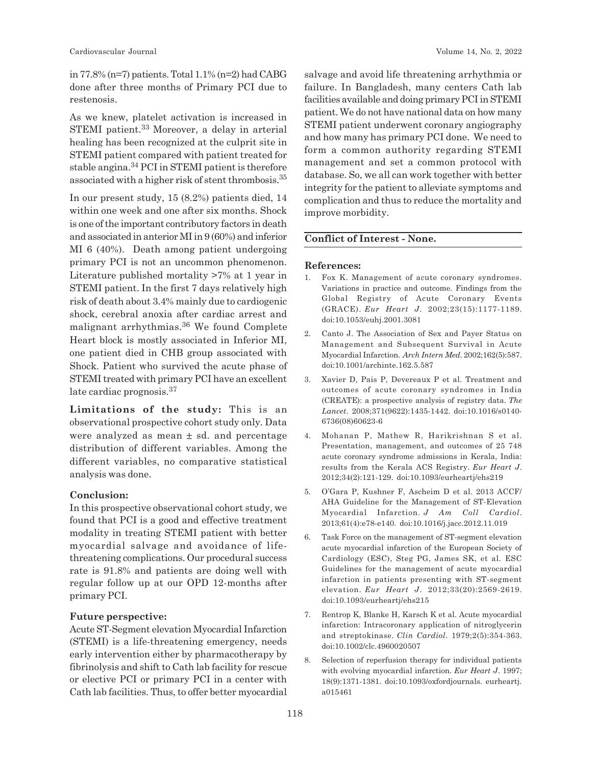in 77.8% (n=7) patients. Total 1.1% (n=2) had CABG done after three months of Primary PCI due to restenosis.

As we knew, platelet activation is increased in STEMI patient.<sup>33</sup> Moreover, a delay in arterial healing has been recognized at the culprit site in STEMI patient compared with patient treated for stable angina.34 PCI in STEMI patient is therefore associated with a higher risk of stent thrombosis.<sup>35</sup>

In our present study, 15 (8.2%) patients died, 14 within one week and one after six months. Shock is one of the important contributory factors in death and associated in anterior MI in 9 (60%) and inferior MI 6 (40%). Death among patient undergoing primary PCI is not an uncommon phenomenon. Literature published mortality >7% at 1 year in STEMI patient. In the first 7 days relatively high risk of death about 3.4% mainly due to cardiogenic shock, cerebral anoxia after cardiac arrest and malignant arrhythmias.36 We found Complete Heart block is mostly associated in Inferior MI, one patient died in CHB group associated with Shock. Patient who survived the acute phase of STEMI treated with primary PCI have an excellent late cardiac prognosis.<sup>37</sup>

**Limitations of the study:** This is an observational prospective cohort study only. Data were analyzed as mean  $\pm$  sd. and percentage distribution of different variables. Among the different variables, no comparative statistical analysis was done.

#### **Conclusion:**

In this prospective observational cohort study, we found that PCI is a good and effective treatment modality in treating STEMI patient with better myocardial salvage and avoidance of lifethreatening complications. Our procedural success rate is 91.8% and patients are doing well with regular follow up at our OPD 12-months after primary PCI.

#### **Future perspective:**

Acute ST-Segment elevation Myocardial Infarction (STEMI) is a life-threatening emergency, needs early intervention either by pharmacotherapy by fibrinolysis and shift to Cath lab facility for rescue or elective PCI or primary PCI in a center with Cath lab facilities. Thus, to offer better myocardial salvage and avoid life threatening arrhythmia or failure. In Bangladesh, many centers Cath lab facilities available and doing primary PCI in STEMI patient. We do not have national data on how many STEMI patient underwent coronary angiography and how many has primary PCI done. We need to form a common authority regarding STEMI management and set a common protocol with database. So, we all can work together with better integrity for the patient to alleviate symptoms and complication and thus to reduce the mortality and improve morbidity.

### **Conflict of Interest - None.**

#### **References:**

- 1. Fox K. Management of acute coronary syndromes. Variations in practice and outcome. Findings from the Global Registry of Acute Coronary Events (GRACE). *Eur Heart J*. 2002;23(15):1177-1189. doi:10.1053/euhj.2001.3081
- 2. Canto J. The Association of Sex and Payer Status on Management and Subsequent Survival in Acute Myocardial Infarction. *Arch Intern Med*. 2002;162(5):587. doi:10.1001/archinte.162.5.587
- 3. Xavier D, Pais P, Devereaux P et al. Treatment and outcomes of acute coronary syndromes in India (CREATE): a prospective analysis of registry data. *The Lancet*. 2008;371(9622):1435-1442. doi:10.1016/s0140- 6736(08)60623-6
- 4. Mohanan P, Mathew R, Harikrishnan S et al. Presentation, management, and outcomes of 25 748 acute coronary syndrome admissions in Kerala, India: results from the Kerala ACS Registry. *Eur Heart J*. 2012;34(2):121-129. doi:10.1093/eurheartj/ehs219
- 5. O'Gara P, Kushner F, Ascheim D et al. 2013 ACCF/ AHA Guideline for the Management of ST-Elevation Myocardial Infarction. *J Am Coll Cardiol*. 2013;61(4):e78-e140. doi:10.1016/j.jacc.2012.11.019
- 6. Task Force on the management of ST-segment elevation acute myocardial infarction of the European Society of Cardiology (ESC), Steg PG, James SK, et al. ESC Guidelines for the management of acute myocardial infarction in patients presenting with ST-segment elevation. *Eur Heart J*. 2012;33(20):2569-2619. doi:10.1093/eurheartj/ehs215
- 7. Rentrop K, Blanke H, Karsch K et al. Acute myocardial infarction: Intracoronary application of nitroglycerin and streptokinase. *Clin Cardiol*. 1979;2(5):354-363. doi:10.1002/clc.4960020507
- 8. Selection of reperfusion therapy for individual patients with evolving myocardial infarction. *Eur Heart J*. 1997; 18(9):1371-1381. doi:10.1093/oxfordjournals. eurheartj. a015461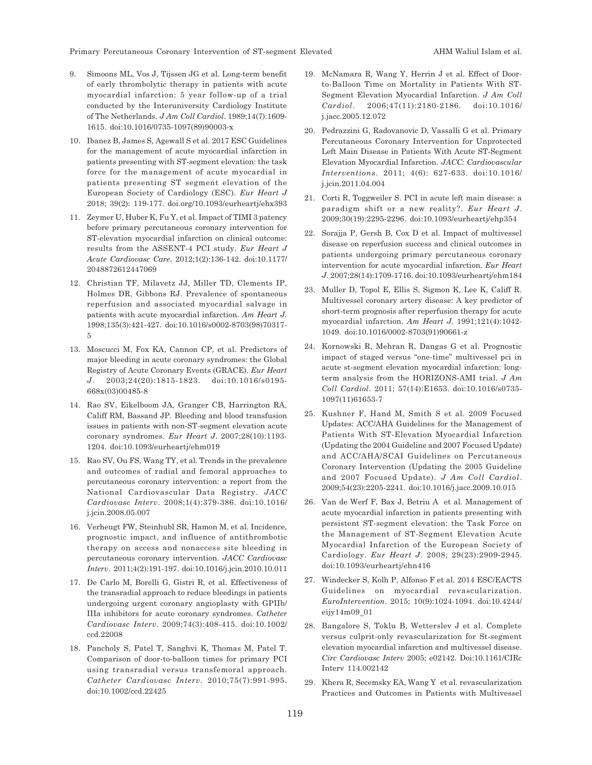Primary Percutaneous Coronary Intervention of ST-segment Elevated AHM Waliul Islam et al.

- 9. Simoons ML, Vos J, Tijssen JG et al. Long-term benefit of early thrombolytic therapy in patients with acute myocardial infarction: 5 year follow-up of a trial conducted by the Interuniversity Cardiology Institute of The Netherlands. *J Am Coll Cardiol*. 1989;14(7):1609- 1615. doi:10.1016/0735-1097(89)90003-x
- 10. Ibanez B, James S, Agewall S et al. 2017 ESC Guidelines for the management of acute myocardial infarction in patients presenting with ST-segment elevation: the task force for the management of acute myocardial in patients presenting ST segment elevation of the European Society of Cardiology (ESC). *Eur Heart J* 2018; 39(2): 119-177. doi.org/10.1093/eurheartj/ehx393
- 11. Zeymer U, Huber K, Fu Y, et al. Impact of TIMI 3 patency before primary percutaneous coronary intervention for ST-elevation myocardial infarction on clinical outcome: results from the ASSENT-4 PCI study. *Eur Heart J Acute Cardiovasc Care*. 2012;1(2):136-142. doi:10.1177/ 2048872612447069
- 12. Christian TF, Milavetz JJ, Miller TD, Clements IP, Holmes DR, Gibbons RJ. Prevalence of spontaneous reperfusion and associated myocardial salvage in patients with acute myocardial infarction. *Am Heart J*. 1998;135(3):421-427. doi:10.1016/s0002-8703(98)70317- 5
- 13. Moscucci M, Fox KA, Cannon CP, et al. Predictors of major bleeding in acute coronary syndromes: the Global Registry of Acute Coronary Events (GRACE). *Eur Heart J*. 2003;24(20):1815-1823. doi:10.1016/s0195- 668x(03)00485-8
- 14. Rao SV, Eikelboom JA, Granger CB, Harrington RA, Califf RM, Bassand JP. Bleeding and blood transfusion issues in patients with non-ST-segment elevation acute coronary syndromes. *Eur Heart J*. 2007;28(10):1193- 1204. doi:10.1093/eurheartj/ehm019
- 15. Rao SV, Ou FS, Wang TY, et al. Trends in the prevalence and outcomes of radial and femoral approaches to percutaneous coronary intervention: a report from the National Cardiovascular Data Registry. *JACC Cardiovasc Interv*. 2008;1(4):379-386. doi:10.1016/ j.jcin.2008.05.007
- 16. Verheugt FW, Steinhubl SR, Hamon M, et al. Incidence, prognostic impact, and influence of antithrombotic therapy on access and nonaccess site bleeding in percutaneous coronary intervention. *JACC Cardiovasc Interv*. 2011;4(2):191-197. doi:10.1016/j.jcin.2010.10.011
- 17. De Carlo M, Borelli G, Gistri R, et al. Effectiveness of the transradial approach to reduce bleedings in patients undergoing urgent coronary angioplasty with GPIIb/ IIIa inhibitors for acute coronary syndromes. *Catheter Cardiovasc Interv*. 2009;74(3):408-415. doi:10.1002/ ccd.22008
- 18. Pancholy S, Patel T, Sanghvi K, Thomas M, Patel T. Comparison of door-to-balloon times for primary PCI using transradial versus transfemoral approach. *Catheter Cardiovasc Interv*. 2010;75(7):991-995. doi:10.1002/ccd.22425
- 19. McNamara R, Wang Y, Herrin J et al. Effect of Doorto-Balloon Time on Mortality in Patients With ST-Segment Elevation Myocardial Infarction. *J Am Coll Cardiol*. 2006;47(11):2180-2186. doi:10.1016/ j.jacc.2005.12.072
- 20. Pedrazzini G, Radovanovic D, Vassalli G et al. Primary Percutaneous Coronary Intervention for Unprotected Left Main Disease in Patients With Acute ST-Segment Elevation Myocardial Infarction. *JACC: Cardiovascular Interventions*. 2011; 4(6): 627-633. doi:10.1016/ j.jcin.2011.04.004
- 21. Corti R, Toggweiler S. PCI in acute left main disease: a paradigm shift or a new reality?. *Eur Heart J*. 2009;30(19):2295-2296. doi:10.1093/eurheartj/ehp354
- 22. Sorajja P, Gersh B, Cox D et al. Impact of multivessel disease on reperfusion success and clinical outcomes in patients undergoing primary percutaneous coronary intervention for acute myocardial infarction. *Eur Heart J*. 2007;28(14):1709-1716. doi:10.1093/eurheartj/ehm184
- 23. Muller D, Topol E, Ellis S, Sigmon K, Lee K, Califf R. Multivessel coronary artery disease: A key predictor of short-term prognosis after reperfusion therapy for acute myocardial infarction. *Am Heart J*. 1991;121(4):1042- 1049. doi:10.1016/0002-8703(91)90661-z
- 24. Kornowski R, Mehran R, Dangas G et al. Prognostic impact of staged versus "one-time" multivessel pci in acute st-segment elevation myocardial infarction: longterm analysis from the HORIZONS-AMI trial. *J Am Coll Cardiol*. 2011; 57(14):E1653. doi:10.1016/s0735- 1097(11)61653-7
- 25. Kushner F, Hand M, Smith S et al. 2009 Focused Updates: ACC/AHA Guidelines for the Management of Patients With ST-Elevation Myocardial Infarction (Updating the 2004 Guideline and 2007 Focused Update) and ACC/AHA/SCAI Guidelines on Percutaneous Coronary Intervention (Updating the 2005 Guideline and 2007 Focused Update). *J Am Coll Cardiol*. 2009;54(23):2205-2241. doi:10.1016/j.jacc.2009.10.015
- 26. Van de Werf F, Bax J, Betriu A et al. Management of acute myocardial infarction in patients presenting with persistent ST-segment elevation: the Task Force on the Management of ST-Segment Elevation Acute Myocardial Infarction of the European Society of Cardiology. *Eur Heart J*. 2008; 29(23):2909-2945. doi:10.1093/eurheartj/ehn416
- 27. Windecker S, Kolh P, Alfonso F et al. 2014 ESC/EACTS Guidelines on myocardial revascularization. *EuroIntervention*. 2015; 10(9):1024-1094. doi:10.4244/ eijy14m09\_01
- 28. Bangalore S, Toklu B, Wetterslev J et al. Complete versus culprit-only revascularization for St-segment elevation myocardial infarction and multivessel disease. *Circ Cardiovasc Interv* 2005; e02142. Doi:10.1161/CIRc Interv 114.002142
- 29. Khera R, Secemsky EA, Wang Y et al. revascularization Practices and Outcomes in Patients with Multivessel